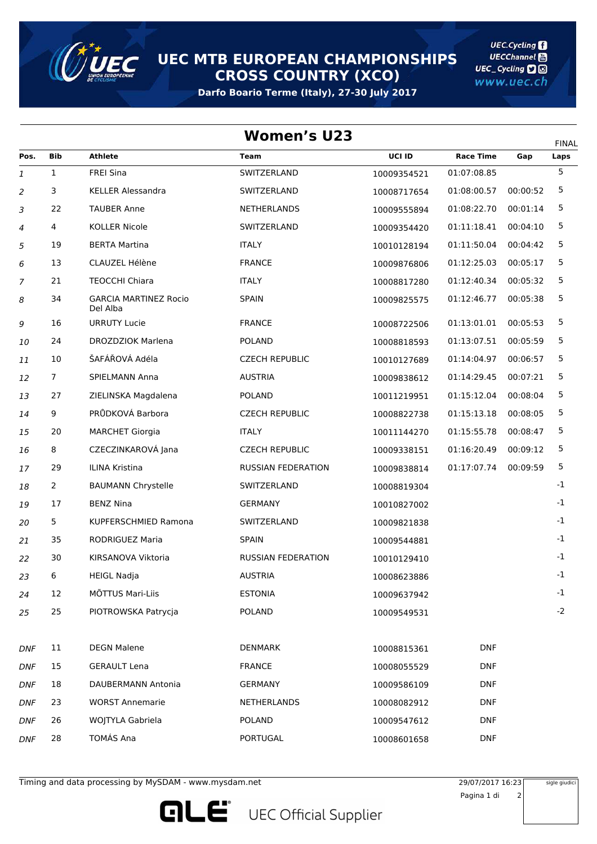

**UEC MTB EUROPEAN CHAMPIONSHIPS CROSS COUNTRY (XCO)**

**Darfo Boario Terme (Italy), 27-30 July 2017**

**UEC.Cycling UECChannel** UEC\_Cycling **D** www.uec.ch

| <b>Women's U23</b> |                                          |                           |             |                  |          |                      |  |  |  |
|--------------------|------------------------------------------|---------------------------|-------------|------------------|----------|----------------------|--|--|--|
| Bib                | <b>Athlete</b>                           | <b>Team</b>               | UCI ID      | <b>Race Time</b> | Gap      | <b>FINAL</b><br>Laps |  |  |  |
| $\mathbf{1}$       | <b>FREI Sina</b>                         | SWITZERLAND               | 10009354521 | 01:07:08.85      |          | 5                    |  |  |  |
| 3                  | <b>KELLER Alessandra</b>                 | SWITZERLAND               | 10008717654 | 01:08:00.57      | 00:00:52 | 5                    |  |  |  |
| 22                 | <b>TAUBER Anne</b>                       | NETHERLANDS               | 10009555894 | 01:08:22.70      | 00:01:14 | 5                    |  |  |  |
| 4                  | <b>KOLLER Nicole</b>                     | SWITZERLAND               | 10009354420 | 01:11:18.41      | 00:04:10 | 5                    |  |  |  |
| 19                 | <b>BERTA Martina</b>                     | <b>ITALY</b>              | 10010128194 | 01:11:50.04      | 00:04:42 | 5                    |  |  |  |
| 13                 | CLAUZEL Hélène                           | <b>FRANCE</b>             | 10009876806 | 01:12:25.03      | 00:05:17 | 5                    |  |  |  |
| 21                 | <b>TEOCCHI Chiara</b>                    | <b>ITALY</b>              | 10008817280 | 01:12:40.34      | 00:05:32 | 5                    |  |  |  |
| 34                 | <b>GARCIA MARTINEZ Rocio</b><br>Del Alba | <b>SPAIN</b>              | 10009825575 | 01:12:46.77      | 00:05:38 | 5                    |  |  |  |
| 16                 | <b>URRUTY Lucie</b>                      | <b>FRANCE</b>             | 10008722506 | 01:13:01.01      | 00:05:53 | 5                    |  |  |  |
| 24                 | <b>DROZDZIOK Marlena</b>                 | <b>POLAND</b>             | 10008818593 | 01:13:07.51      | 00:05:59 | 5                    |  |  |  |
| 10                 | ŠAFÁŘOVÁ Adéla                           | <b>CZECH REPUBLIC</b>     | 10010127689 | 01:14:04.97      | 00:06:57 | 5                    |  |  |  |
| 7                  | <b>SPIELMANN Anna</b>                    | <b>AUSTRIA</b>            | 10009838612 | 01:14:29.45      | 00:07:21 | 5                    |  |  |  |
| 27                 | ZIELINSKA Magdalena                      | <b>POLAND</b>             | 10011219951 | 01:15:12.04      | 00:08:04 | 5                    |  |  |  |
| 9                  | PRŮDKOVÁ Barbora                         | <b>CZECH REPUBLIC</b>     | 10008822738 | 01:15:13.18      | 00:08:05 | 5                    |  |  |  |
| 20                 | <b>MARCHET Giorgia</b>                   | <b>ITALY</b>              | 10011144270 | 01:15:55.78      | 00:08:47 | 5                    |  |  |  |
| 8                  | CZECZINKAROVÁ Jana                       | <b>CZECH REPUBLIC</b>     | 10009338151 | 01:16:20.49      | 00:09:12 | 5                    |  |  |  |
| 29                 | ILINA Kristina                           | <b>RUSSIAN FEDERATION</b> | 10009838814 | 01:17:07.74      | 00:09:59 | 5                    |  |  |  |
| 2                  | <b>BAUMANN Chrystelle</b>                | SWITZERLAND               | 10008819304 |                  |          | $-1$                 |  |  |  |
| 17                 | <b>BENZ Nina</b>                         | <b>GERMANY</b>            | 10010827002 |                  |          | $-1$                 |  |  |  |
| 5                  | KUPFERSCHMIED Ramona                     | SWITZERLAND               | 10009821838 |                  |          | $-1$                 |  |  |  |
| 35                 | <b>RODRIGUEZ Maria</b>                   | <b>SPAIN</b>              | 10009544881 |                  |          | $-1$                 |  |  |  |
| 30                 | KIRSANOVA Viktoria                       | <b>RUSSIAN FEDERATION</b> | 10010129410 |                  |          | $-1$                 |  |  |  |
| 6                  | <b>HEIGL Nadja</b>                       | <b>AUSTRIA</b>            | 10008623886 |                  |          | $-1$                 |  |  |  |
| 12                 | MÕTTUS Mari-Liis                         | <b>ESTONIA</b>            | 10009637942 |                  |          | $-1$                 |  |  |  |
| 25                 | PIOTROWSKA Patrycja                      | <b>POLAND</b>             | 10009549531 |                  |          | $-2$                 |  |  |  |
| 11                 | <b>DEGN Malene</b>                       | <b>DENMARK</b>            | 10008815361 | <b>DNF</b>       |          |                      |  |  |  |
| 15                 | <b>GERAULT Lena</b>                      | <b>FRANCE</b>             | 10008055529 | <b>DNF</b>       |          |                      |  |  |  |
| 18                 | DAUBERMANN Antonia                       | <b>GERMANY</b>            | 10009586109 | <b>DNF</b>       |          |                      |  |  |  |
| 23                 | <b>WORST Annemarie</b>                   | NETHERLANDS               | 10008082912 | <b>DNF</b>       |          |                      |  |  |  |
| 26                 | WOJTYLA Gabriela                         | <b>POLAND</b>             | 10009547612 | <b>DNF</b>       |          |                      |  |  |  |
| 28                 | TOMÁS Ana                                | PORTUGAL                  | 10008601658 | <b>DNF</b>       |          |                      |  |  |  |
|                    |                                          |                           |             |                  |          |                      |  |  |  |

Timing and data processing by MySDAM - www.mysdam.net 29/07/2017 2017 2017 16:23